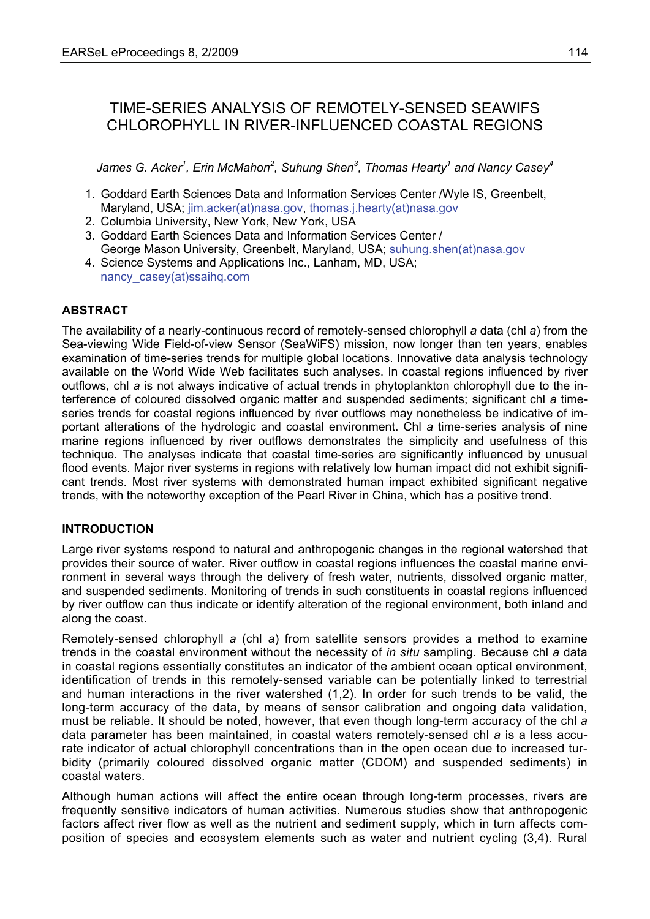# TIME-SERIES ANALYSIS OF REMOTELY-SENSED SEAWIFS CHLOROPHYLL IN RIVER-INFLUENCED COASTAL REGIONS

 $J$ ames G. Acker $^1$ , Erin McMahon $^2$ , Suhung Shen $^3$ , Thomas Hearty $^1$  and Nancy Casey $^4$ 

- 1. Goddard Earth Sciences Data and Information Services Center /Wyle IS, Greenbelt, Maryland, USA; jim.acker(at)nasa.gov, thomas.j.hearty(at)nasa.gov
- 2. Columbia University, New York, New York, USA
- 3. Goddard Earth Sciences Data and Information Services Center / George Mason University, Greenbelt, Maryland, USA; suhung.shen(at)nasa.gov
- 4. Science Systems and Applications Inc., Lanham, MD, USA; nancy\_casey(at)ssaihq.com

## **ABSTRACT**

The availability of a nearly-continuous record of remotely-sensed chlorophyll *a* data (chl *a*) from the Sea-viewing Wide Field-of-view Sensor (SeaWiFS) mission, now longer than ten years, enables examination of time-series trends for multiple global locations. Innovative data analysis technology available on the World Wide Web facilitates such analyses. In coastal regions influenced by river outflows, chl *a* is not always indicative of actual trends in phytoplankton chlorophyll due to the interference of coloured dissolved organic matter and suspended sediments; significant chl *a* timeseries trends for coastal regions influenced by river outflows may nonetheless be indicative of important alterations of the hydrologic and coastal environment. Chl *a* time-series analysis of nine marine regions influenced by river outflows demonstrates the simplicity and usefulness of this technique. The analyses indicate that coastal time-series are significantly influenced by unusual flood events. Major river systems in regions with relatively low human impact did not exhibit significant trends. Most river systems with demonstrated human impact exhibited significant negative trends, with the noteworthy exception of the Pearl River in China, which has a positive trend.

## **INTRODUCTION**

Large river systems respond to natural and anthropogenic changes in the regional watershed that provides their source of water. River outflow in coastal regions influences the coastal marine environment in several ways through the delivery of fresh water, nutrients, dissolved organic matter, and suspended sediments. Monitoring of trends in such constituents in coastal regions influenced by river outflow can thus indicate or identify alteration of the regional environment, both inland and along the coast.

Remotely-sensed chlorophyll *a* (chl *a*) from satellite sensors provides a method to examine trends in the coastal environment without the necessity of *in situ* sampling. Because chl *a* data in coastal regions essentially constitutes an indicator of the ambient ocean optical environment, identification of trends in this remotely-sensed variable can be potentially linked to terrestrial and human interactions in the river watershed (1,2). In order for such trends to be valid, the long-term accuracy of the data, by means of sensor calibration and ongoing data validation, must be reliable. It should be noted, however, that even though long-term accuracy of the chl *a* data parameter has been maintained, in coastal waters remotely-sensed chl *a* is a less accurate indicator of actual chlorophyll concentrations than in the open ocean due to increased turbidity (primarily coloured dissolved organic matter (CDOM) and suspended sediments) in coastal waters.

Although human actions will affect the entire ocean through long-term processes, rivers are frequently sensitive indicators of human activities. Numerous studies show that anthropogenic factors affect river flow as well as the nutrient and sediment supply, which in turn affects composition of species and ecosystem elements such as water and nutrient cycling (3,4). Rural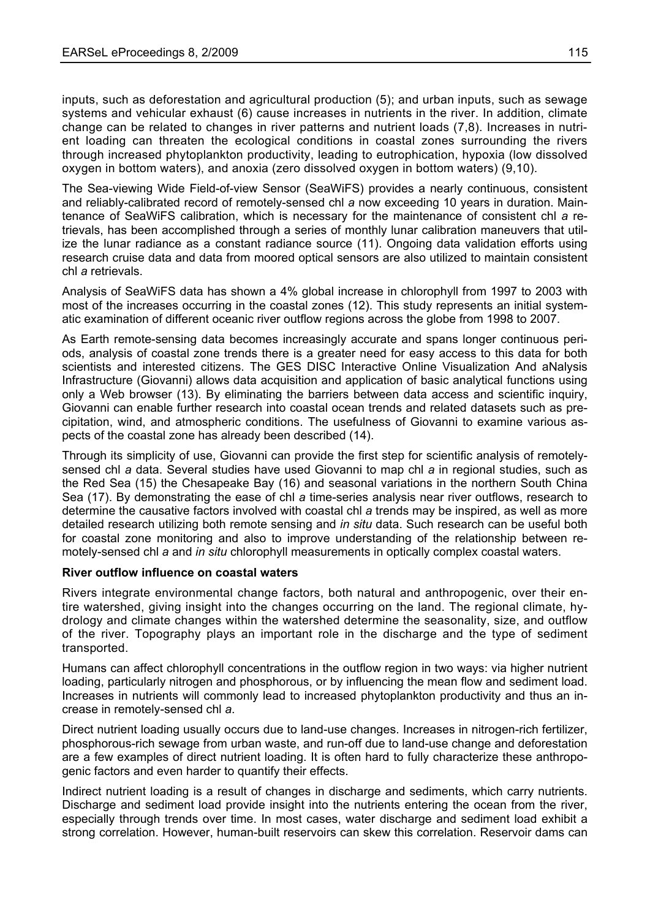inputs, such as deforestation and agricultural production (5); and urban inputs, such as sewage systems and vehicular exhaust (6) cause increases in nutrients in the river. In addition, climate change can be related to changes in river patterns and nutrient loads (7,8). Increases in nutrient loading can threaten the ecological conditions in coastal zones surrounding the rivers through increased phytoplankton productivity, leading to eutrophication, hypoxia (low dissolved oxygen in bottom waters), and anoxia (zero dissolved oxygen in bottom waters) (9,10).

The Sea-viewing Wide Field-of-view Sensor (SeaWiFS) provides a nearly continuous, consistent and reliably-calibrated record of remotely-sensed chl *a* now exceeding 10 years in duration. Maintenance of SeaWiFS calibration, which is necessary for the maintenance of consistent chl *a* retrievals, has been accomplished through a series of monthly lunar calibration maneuvers that utilize the lunar radiance as a constant radiance source (11). Ongoing data validation efforts using research cruise data and data from moored optical sensors are also utilized to maintain consistent chl *a* retrievals.

Analysis of SeaWiFS data has shown a 4% global increase in chlorophyll from 1997 to 2003 with most of the increases occurring in the coastal zones (12). This study represents an initial systematic examination of different oceanic river outflow regions across the globe from 1998 to 2007.

As Earth remote-sensing data becomes increasingly accurate and spans longer continuous periods, analysis of coastal zone trends there is a greater need for easy access to this data for both scientists and interested citizens. The GES DISC Interactive Online Visualization And aNalysis Infrastructure (Giovanni) allows data acquisition and application of basic analytical functions using only a Web browser (13). By eliminating the barriers between data access and scientific inquiry, Giovanni can enable further research into coastal ocean trends and related datasets such as precipitation, wind, and atmospheric conditions. The usefulness of Giovanni to examine various aspects of the coastal zone has already been described (14).

Through its simplicity of use, Giovanni can provide the first step for scientific analysis of remotelysensed chl *a* data. Several studies have used Giovanni to map chl *a* in regional studies, such as the Red Sea (15) the Chesapeake Bay (16) and seasonal variations in the northern South China Sea (17). By demonstrating the ease of chl *a* time-series analysis near river outflows, research to determine the causative factors involved with coastal chl *a* trends may be inspired, as well as more detailed research utilizing both remote sensing and *in situ* data. Such research can be useful both for coastal zone monitoring and also to improve understanding of the relationship between remotely-sensed chl *a* and *in situ* chlorophyll measurements in optically complex coastal waters.

## **River outflow influence on coastal waters**

Rivers integrate environmental change factors, both natural and anthropogenic, over their entire watershed, giving insight into the changes occurring on the land. The regional climate, hydrology and climate changes within the watershed determine the seasonality, size, and outflow of the river. Topography plays an important role in the discharge and the type of sediment transported.

Humans can affect chlorophyll concentrations in the outflow region in two ways: via higher nutrient loading, particularly nitrogen and phosphorous, or by influencing the mean flow and sediment load. Increases in nutrients will commonly lead to increased phytoplankton productivity and thus an increase in remotely-sensed chl *a*.

Direct nutrient loading usually occurs due to land-use changes. Increases in nitrogen-rich fertilizer, phosphorous-rich sewage from urban waste, and run-off due to land-use change and deforestation are a few examples of direct nutrient loading. It is often hard to fully characterize these anthropogenic factors and even harder to quantify their effects.

Indirect nutrient loading is a result of changes in discharge and sediments, which carry nutrients. Discharge and sediment load provide insight into the nutrients entering the ocean from the river, especially through trends over time. In most cases, water discharge and sediment load exhibit a strong correlation. However, human-built reservoirs can skew this correlation. Reservoir dams can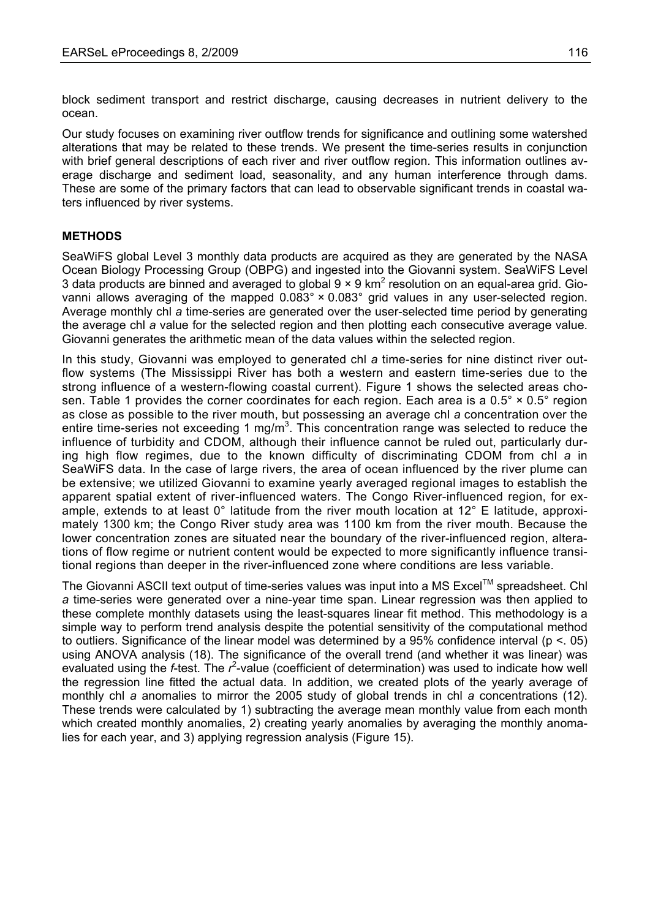block sediment transport and restrict discharge, causing decreases in nutrient delivery to the ocean.

Our study focuses on examining river outflow trends for significance and outlining some watershed alterations that may be related to these trends. We present the time-series results in conjunction with brief general descriptions of each river and river outflow region. This information outlines average discharge and sediment load, seasonality, and any human interference through dams. These are some of the primary factors that can lead to observable significant trends in coastal waters influenced by river systems.

## **METHODS**

SeaWiFS global Level 3 monthly data products are acquired as they are generated by the NASA Ocean Biology Processing Group (OBPG) and ingested into the Giovanni system. SeaWiFS Level 3 data products are binned and averaged to global  $9 \times 9$  km<sup>2</sup> resolution on an equal-area grid. Giovanni allows averaging of the mapped 0.083° × 0.083° grid values in any user-selected region. Average monthly chl *a* time-series are generated over the user-selected time period by generating the average chl *a* value for the selected region and then plotting each consecutive average value. Giovanni generates the arithmetic mean of the data values within the selected region.

In this study, Giovanni was employed to generated chl *a* time-series for nine distinct river outflow systems (The Mississippi River has both a western and eastern time-series due to the strong influence of a western-flowing coastal current). Figure 1 shows the selected areas chosen. Table 1 provides the corner coordinates for each region. Each area is a  $0.5^{\circ} \times 0.5^{\circ}$  region as close as possible to the river mouth, but possessing an average chl *a* concentration over the entire time-series not exceeding 1 mg/m<sup>3</sup>. This concentration range was selected to reduce the influence of turbidity and CDOM, although their influence cannot be ruled out, particularly during high flow regimes, due to the known difficulty of discriminating CDOM from chl *a* in SeaWiFS data. In the case of large rivers, the area of ocean influenced by the river plume can be extensive; we utilized Giovanni to examine yearly averaged regional images to establish the apparent spatial extent of river-influenced waters. The Congo River-influenced region, for example, extends to at least 0° latitude from the river mouth location at 12° E latitude, approximately 1300 km; the Congo River study area was 1100 km from the river mouth. Because the lower concentration zones are situated near the boundary of the river-influenced region, alterations of flow regime or nutrient content would be expected to more significantly influence transitional regions than deeper in the river-influenced zone where conditions are less variable.

The Giovanni ASCII text output of time-series values was input into a MS Excel™ spreadsheet. Chl *a* time-series were generated over a nine-year time span. Linear regression was then applied to these complete monthly datasets using the least-squares linear fit method. This methodology is a simple way to perform trend analysis despite the potential sensitivity of the computational method to outliers. Significance of the linear model was determined by a 95% confidence interval (p <. 05) using ANOVA analysis (18). The significance of the overall trend (and whether it was linear) was evaluated using the *f*-test. The  $r^2$ -value (coefficient of determination) was used to indicate how well the regression line fitted the actual data. In addition, we created plots of the yearly average of monthly chl *a* anomalies to mirror the 2005 study of global trends in chl *a* concentrations (12). These trends were calculated by 1) subtracting the average mean monthly value from each month which created monthly anomalies, 2) creating yearly anomalies by averaging the monthly anomalies for each year, and 3) applying regression analysis (Figure 15).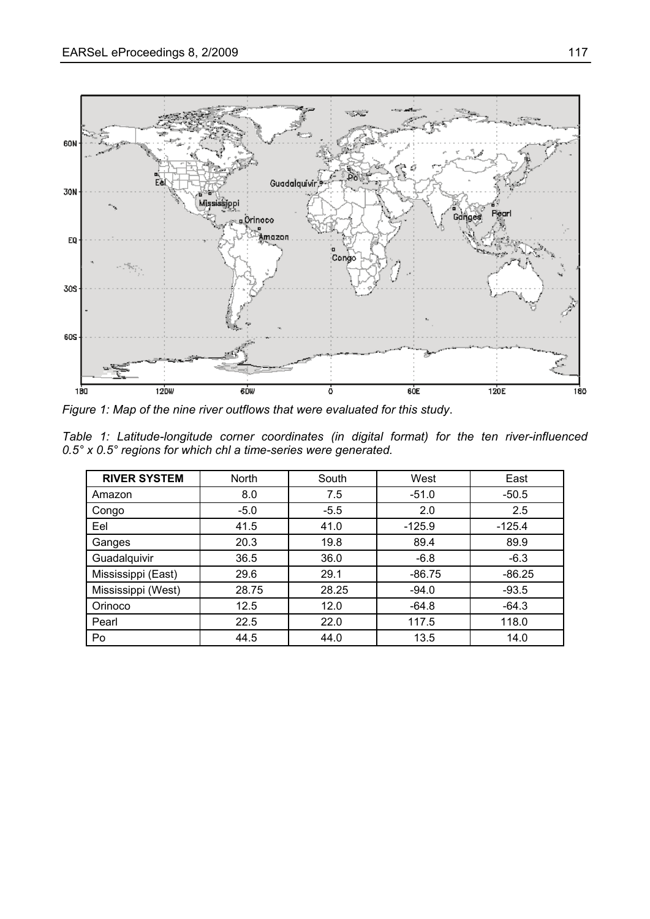

*Figure 1: Map of the nine river outflows that were evaluated for this study*.

|  | Table 1: Latitude-longitude corner coordinates (in digital format) for the ten river-influenced |  |  |  |  |  |
|--|-------------------------------------------------------------------------------------------------|--|--|--|--|--|
|  | $0.5^{\circ}$ x 0.5 $^{\circ}$ regions for which chl a time-series were generated.              |  |  |  |  |  |

| <b>RIVER SYSTEM</b> | <b>North</b> | South  | West     | East     |
|---------------------|--------------|--------|----------|----------|
| Amazon              | 8.0          | 7.5    | $-51.0$  | $-50.5$  |
| Congo               | $-5.0$       | $-5.5$ | 2.0      | 2.5      |
| Eel                 | 41.5         | 41.0   | $-125.9$ | $-125.4$ |
| Ganges              | 20.3         | 19.8   | 89.4     | 89.9     |
| Guadalquivir        | 36.5         | 36.0   | $-6.8$   | $-6.3$   |
| Mississippi (East)  | 29.6         | 29.1   | $-86.75$ | $-86.25$ |
| Mississippi (West)  | 28.75        | 28.25  | $-94.0$  | $-93.5$  |
| Orinoco             | 12.5         | 12.0   | $-64.8$  | $-64.3$  |
| Pearl               | 22.5         | 22.0   | 117.5    | 118.0    |
| Po                  | 44.5         | 44.0   | 13.5     | 14.0     |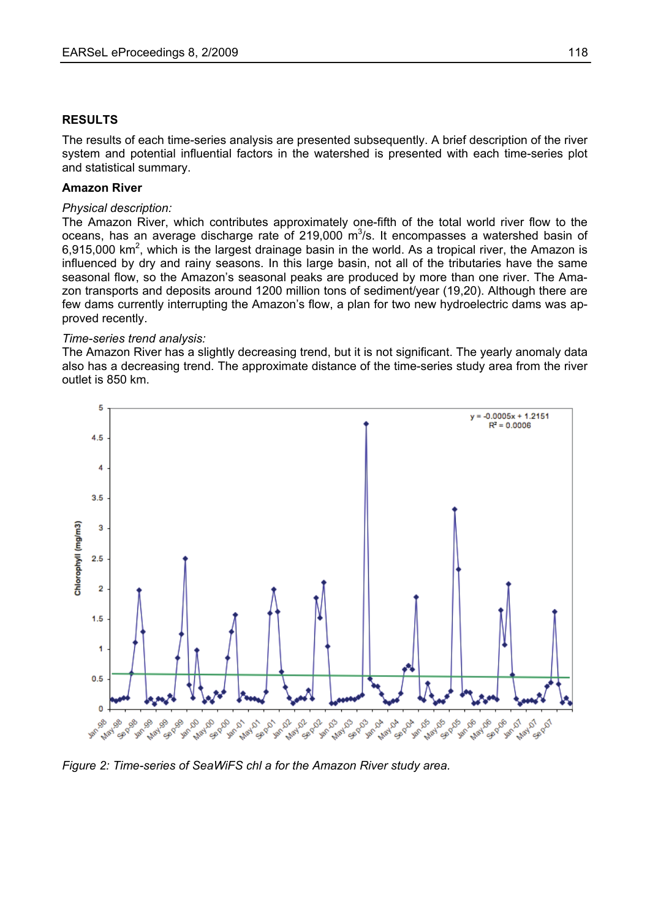#### **RESULTS**

The results of each time-series analysis are presented subsequently. A brief description of the river system and potential influential factors in the watershed is presented with each time-series plot and statistical summary.

#### **Amazon River**

### *Physical description:*

The Amazon River, which contributes approximately one-fifth of the total world river flow to the oceans, has an average discharge rate of 219,000  $m^3/s$ . It encompasses a watershed basin of  $6,915,000$  km<sup>2</sup>, which is the largest drainage basin in the world. As a tropical river, the Amazon is influenced by dry and rainy seasons. In this large basin, not all of the tributaries have the same seasonal flow, so the Amazon's seasonal peaks are produced by more than one river. The Amazon transports and deposits around 1200 million tons of sediment/year (19,20). Although there are few dams currently interrupting the Amazon's flow, a plan for two new hydroelectric dams was approved recently.

#### *Time-series trend analysis:*

The Amazon River has a slightly decreasing trend, but it is not significant. The yearly anomaly data also has a decreasing trend. The approximate distance of the time-series study area from the river outlet is 850 km.



*Figure 2: Time-series of SeaWiFS chl a for the Amazon River study area.*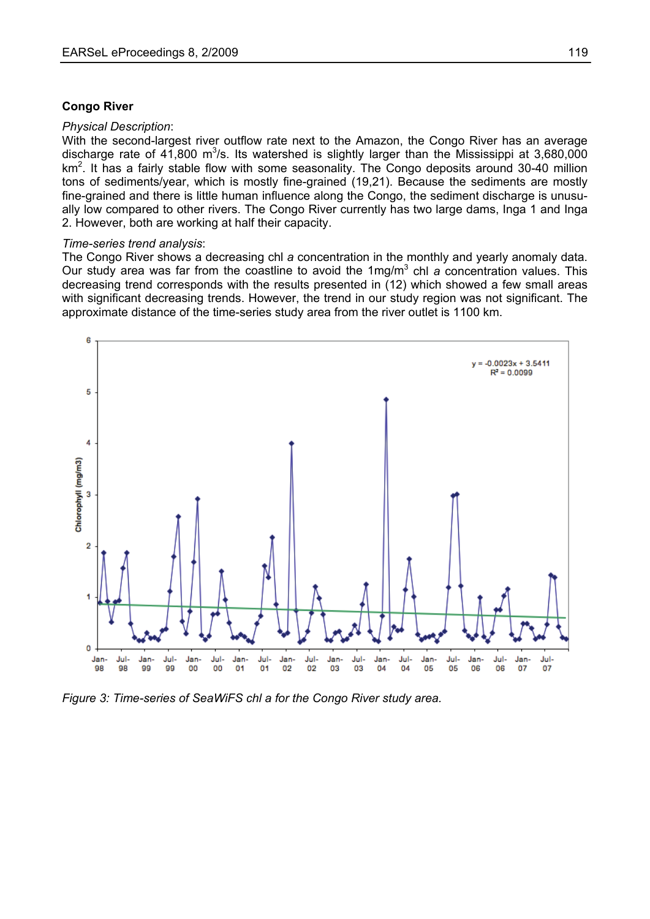#### **Congo River**

#### *Physical Description*:

With the second-largest river outflow rate next to the Amazon, the Congo River has an average discharge rate of 41,800 m<sup>3</sup>/s. Its watershed is slightly larger than the Mississippi at 3,680,000 km<sup>2</sup>. It has a fairly stable flow with some seasonality. The Congo deposits around 30-40 million tons of sediments/year, which is mostly fine-grained (19,21). Because the sediments are mostly fine-grained and there is little human influence along the Congo, the sediment discharge is unusually low compared to other rivers. The Congo River currently has two large dams, Inga 1 and Inga 2. However, both are working at half their capacity.

#### *Time-series trend analysis*:

The Congo River shows a decreasing chl *a* concentration in the monthly and yearly anomaly data. Our study area was far from the coastline to avoid the 1mg/m<sup>3</sup> chl *a* concentration values. This decreasing trend corresponds with the results presented in (12) which showed a few small areas with significant decreasing trends. However, the trend in our study region was not significant. The approximate distance of the time-series study area from the river outlet is 1100 km.



*Figure 3: Time-series of SeaWiFS chl a for the Congo River study area.*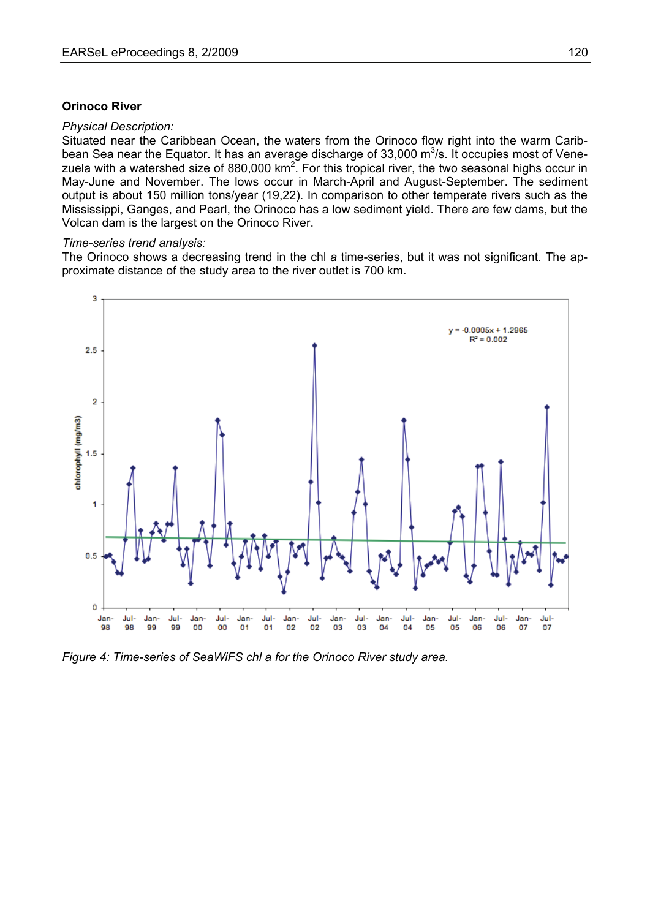#### **Orinoco River**

#### *Physical Description:*

Situated near the Caribbean Ocean, the waters from the Orinoco flow right into the warm Caribbean Sea near the Equator. It has an average discharge of 33,000  $\mathrm{m}^3$ /s. It occupies most of Venezuela with a watershed size of 880,000 km<sup>2</sup>. For this tropical river, the two seasonal highs occur in May-June and November. The lows occur in March-April and August-September. The sediment output is about 150 million tons/year (19,22). In comparison to other temperate rivers such as the Mississippi, Ganges, and Pearl, the Orinoco has a low sediment yield. There are few dams, but the Volcan dam is the largest on the Orinoco River.

#### *Time-series trend analysis:*

The Orinoco shows a decreasing trend in the chl *a* time-series, but it was not significant. The approximate distance of the study area to the river outlet is 700 km.



*Figure 4: Time-series of SeaWiFS chl a for the Orinoco River study area.*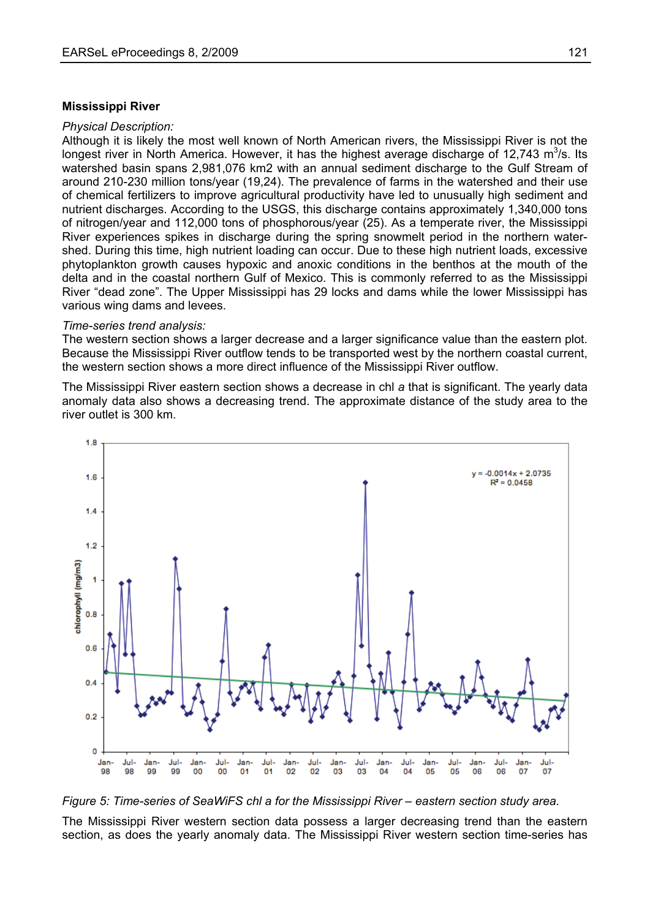#### **Mississippi River**

#### *Physical Description:*

Although it is likely the most well known of North American rivers, the Mississippi River is not the longest river in North America. However, it has the highest average discharge of 12,743  $\mathrm{m}^3$ /s. Its watershed basin spans 2,981,076 km2 with an annual sediment discharge to the Gulf Stream of around 210-230 million tons/year (19,24). The prevalence of farms in the watershed and their use of chemical fertilizers to improve agricultural productivity have led to unusually high sediment and nutrient discharges. According to the USGS, this discharge contains approximately 1,340,000 tons of nitrogen/year and 112,000 tons of phosphorous/year (25). As a temperate river, the Mississippi River experiences spikes in discharge during the spring snowmelt period in the northern watershed. During this time, high nutrient loading can occur. Due to these high nutrient loads, excessive phytoplankton growth causes hypoxic and anoxic conditions in the benthos at the mouth of the delta and in the coastal northern Gulf of Mexico. This is commonly referred to as the Mississippi River "dead zone". The Upper Mississippi has 29 locks and dams while the lower Mississippi has various wing dams and levees.

#### *Time-series trend analysis:*

The western section shows a larger decrease and a larger significance value than the eastern plot. Because the Mississippi River outflow tends to be transported west by the northern coastal current, the western section shows a more direct influence of the Mississippi River outflow.

The Mississippi River eastern section shows a decrease in chl *a* that is significant. The yearly data anomaly data also shows a decreasing trend. The approximate distance of the study area to the river outlet is 300 km.



*Figure 5: Time-series of SeaWiFS chl a for the Mississippi River – eastern section study area.* 

The Mississippi River western section data possess a larger decreasing trend than the eastern section, as does the yearly anomaly data. The Mississippi River western section time-series has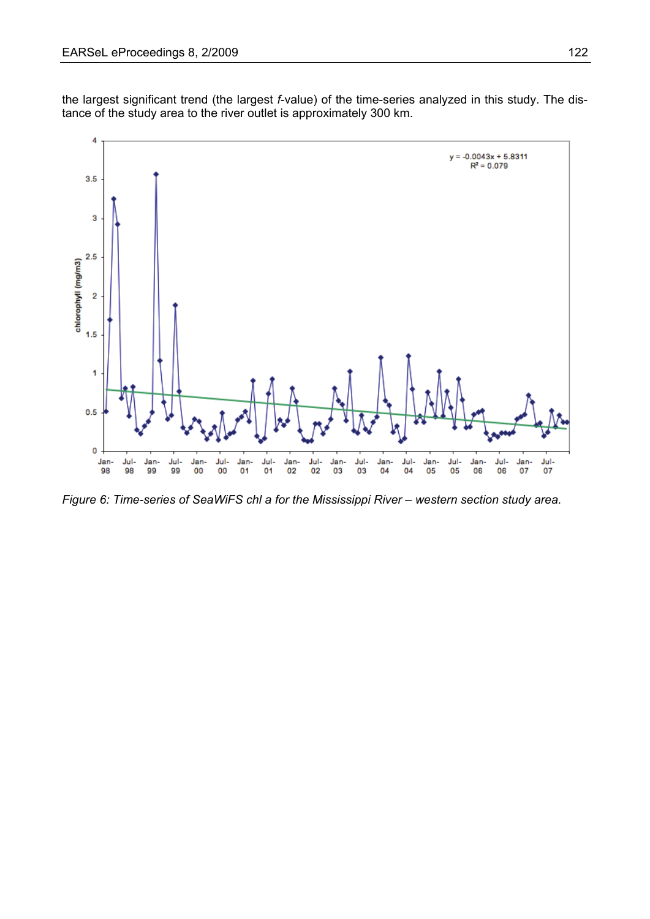the largest significant trend (the largest *f*-value) of the time-series analyzed in this study. The distance of the study area to the river outlet is approximately 300 km.



*Figure 6: Time-series of SeaWiFS chl a for the Mississippi River – western section study area.*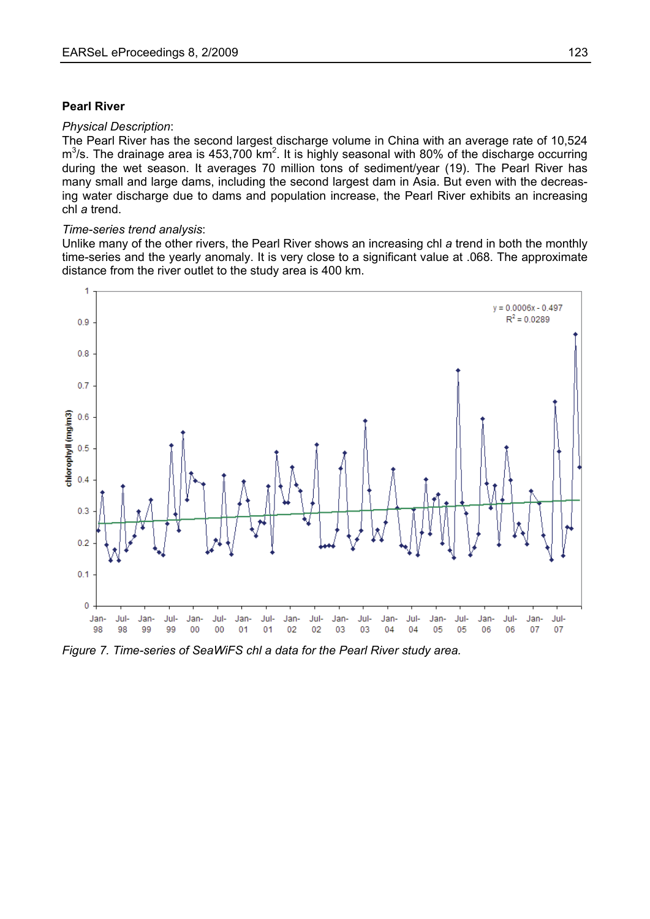### **Pearl River**

#### *Physical Description*:

The Pearl River has the second largest discharge volume in China with an average rate of 10,524  $\text{m}^3$ /s. The drainage area is 453,700 km<sup>2</sup>. It is highly seasonal with 80% of the discharge occurring during the wet season. It averages 70 million tons of sediment/year (19). The Pearl River has many small and large dams, including the second largest dam in Asia. But even with the decreasing water discharge due to dams and population increase, the Pearl River exhibits an increasing chl *a* trend.

#### *Time-series trend analysis*:

Unlike many of the other rivers, the Pearl River shows an increasing chl *a* trend in both the monthly time-series and the yearly anomaly. It is very close to a significant value at .068. The approximate distance from the river outlet to the study area is 400 km.



*Figure 7. Time-series of SeaWiFS chl a data for the Pearl River study area.*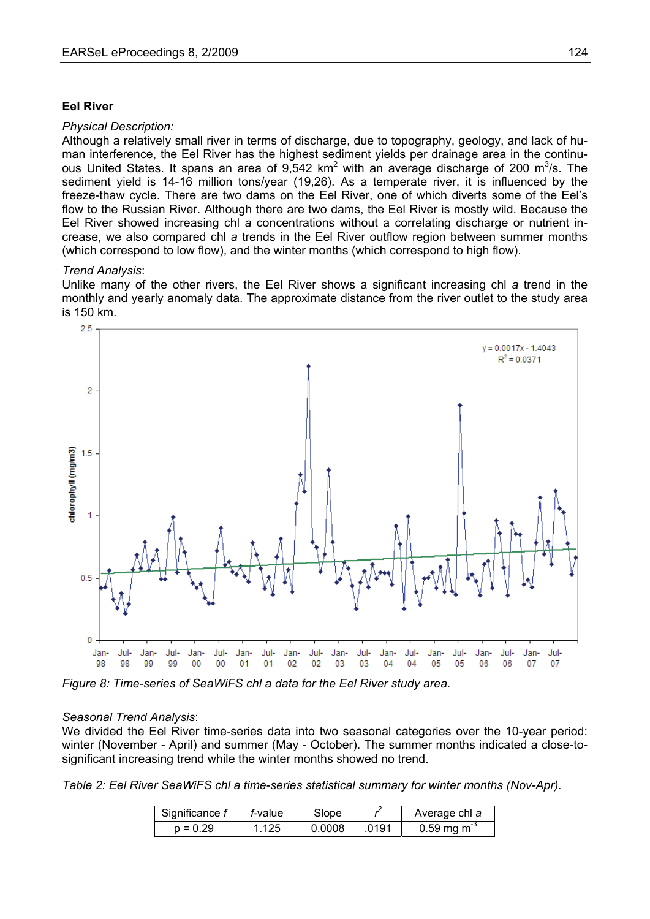#### **Eel River**

#### *Physical Description:*

Although a relatively small river in terms of discharge, due to topography, geology, and lack of human interference, the Eel River has the highest sediment yields per drainage area in the continuous United States. It spans an area of  $9,542$  km<sup>2</sup> with an average discharge of 200 m<sup>3</sup>/s. The sediment yield is 14-16 million tons/year (19,26). As a temperate river, it is influenced by the freeze-thaw cycle. There are two dams on the Eel River, one of which diverts some of the Eel's flow to the Russian River. Although there are two dams, the Eel River is mostly wild. Because the Eel River showed increasing chl *a* concentrations without a correlating discharge or nutrient increase, we also compared chl *a* trends in the Eel River outflow region between summer months (which correspond to low flow), and the winter months (which correspond to high flow).

#### *Trend Analysis*:

Unlike many of the other rivers, the Eel River shows a significant increasing chl *a* trend in the monthly and yearly anomaly data. The approximate distance from the river outlet to the study area is 150 km.



*Figure 8: Time-series of SeaWiFS chl a data for the Eel River study area.* 

#### *Seasonal Trend Analysis*:

We divided the Eel River time-series data into two seasonal categories over the 10-year period: winter (November - April) and summer (May - October). The summer months indicated a close-tosignificant increasing trend while the winter months showed no trend.

*Table 2: Eel River SeaWiFS chl a time-series statistical summary for winter months (Nov-Apr).* 

| Significance f | <i>f</i> -value | Slope  |      | Average chl a           |
|----------------|-----------------|--------|------|-------------------------|
| $p = 0.29$     | $\sqrt{125}$    | 0.0008 | 0191 | 0.59 mg m <sup>-3</sup> |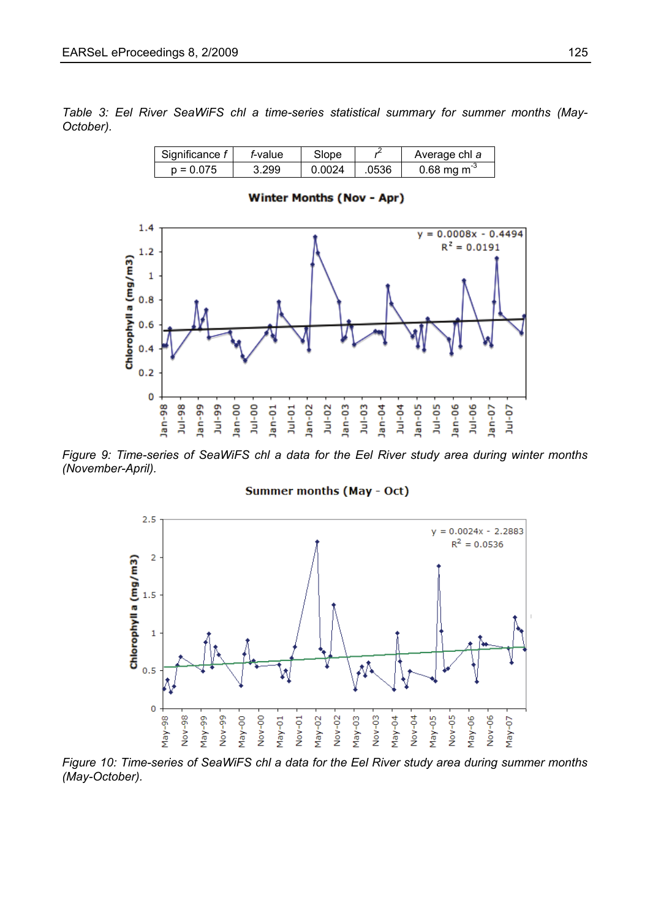*Table 3: Eel River SeaWiFS chl a time-series statistical summary for summer months (May-October).* 

| Significance f | <i>f</i> -value | Slope  |       | Average chl a           |
|----------------|-----------------|--------|-------|-------------------------|
| $p = 0.075$    | 3.299           | 0.0024 | .0536 | 0.68 mg m <sup>-3</sup> |

### **Winter Months (Nov - Apr)**



*Figure 9: Time-series of SeaWiFS chl a data for the Eel River study area during winter months (November-April).* 

#### Summer months (May - Oct)



*Figure 10: Time-series of SeaWiFS chl a data for the Eel River study area during summer months (May-October).*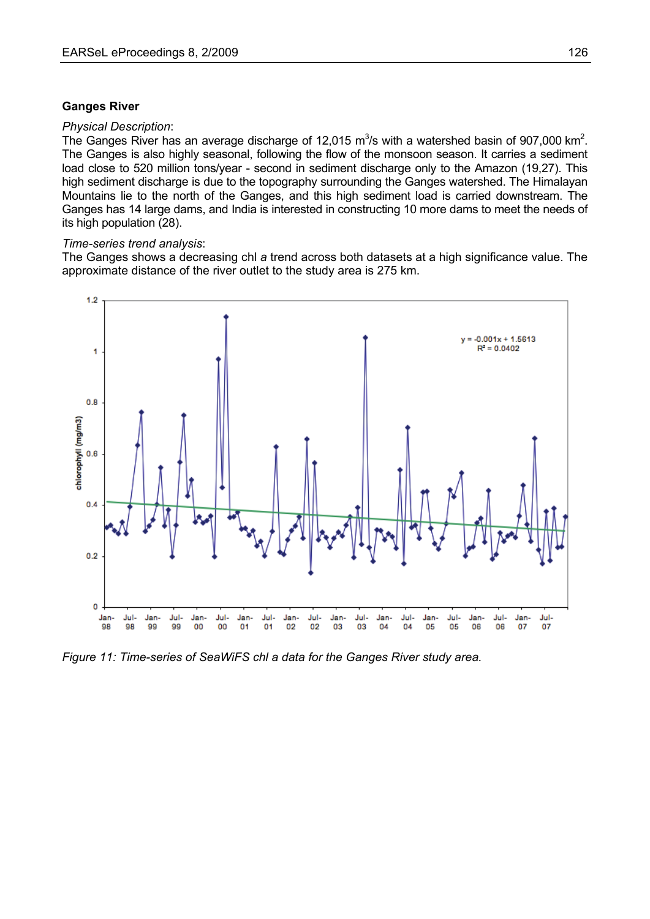#### **Ganges River**

#### *Physical Description*:

The Ganges River has an average discharge of 12,015  $\text{m}^3$ /s with a watershed basin of 907,000 km<sup>2</sup>. The Ganges is also highly seasonal, following the flow of the monsoon season. It carries a sediment load close to 520 million tons/year - second in sediment discharge only to the Amazon (19,27). This high sediment discharge is due to the topography surrounding the Ganges watershed. The Himalayan Mountains lie to the north of the Ganges, and this high sediment load is carried downstream. The Ganges has 14 large dams, and India is interested in constructing 10 more dams to meet the needs of its high population (28).

#### *Time-series trend analysis*:

The Ganges shows a decreasing chl *a* trend across both datasets at a high significance value. The approximate distance of the river outlet to the study area is 275 km.



*Figure 11: Time-series of SeaWiFS chl a data for the Ganges River study area.*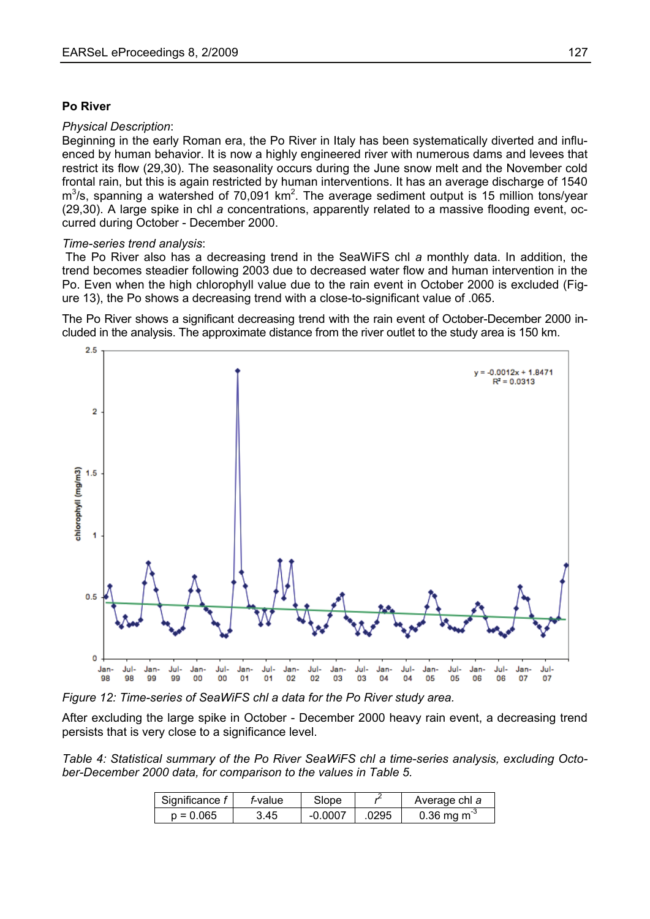### **Po River**

#### *Physical Description*:

Beginning in the early Roman era, the Po River in Italy has been systematically diverted and influenced by human behavior. It is now a highly engineered river with numerous dams and levees that restrict its flow (29,30). The seasonality occurs during the June snow melt and the November cold frontal rain, but this is again restricted by human interventions. It has an average discharge of 1540  $m<sup>3</sup>/s$ , spanning a watershed of 70,091 km<sup>2</sup>. The average sediment output is 15 million tons/year (29,30). A large spike in chl *a* concentrations, apparently related to a massive flooding event, occurred during October - December 2000.

#### *Time-series trend analysis*:

 The Po River also has a decreasing trend in the SeaWiFS chl *a* monthly data. In addition, the trend becomes steadier following 2003 due to decreased water flow and human intervention in the Po. Even when the high chlorophyll value due to the rain event in October 2000 is excluded (Figure 13), the Po shows a decreasing trend with a close-to-significant value of .065.

The Po River shows a significant decreasing trend with the rain event of October-December 2000 included in the analysis. The approximate distance from the river outlet to the study area is 150 km.





After excluding the large spike in October - December 2000 heavy rain event, a decreasing trend persists that is very close to a significance level.

*Table 4: Statistical summary of the Po River SeaWiFS chl a time-series analysis, excluding October-December 2000 data, for comparison to the values in Table 5.* 

| Significance f | <i>f</i> -value | Slope     |      | Average chl a                  |
|----------------|-----------------|-----------|------|--------------------------------|
| $p = 0.065$    | 3.45            | $-0.0007$ | 0295 | $0.36 \,\mathrm{mg \, m}^{-3}$ |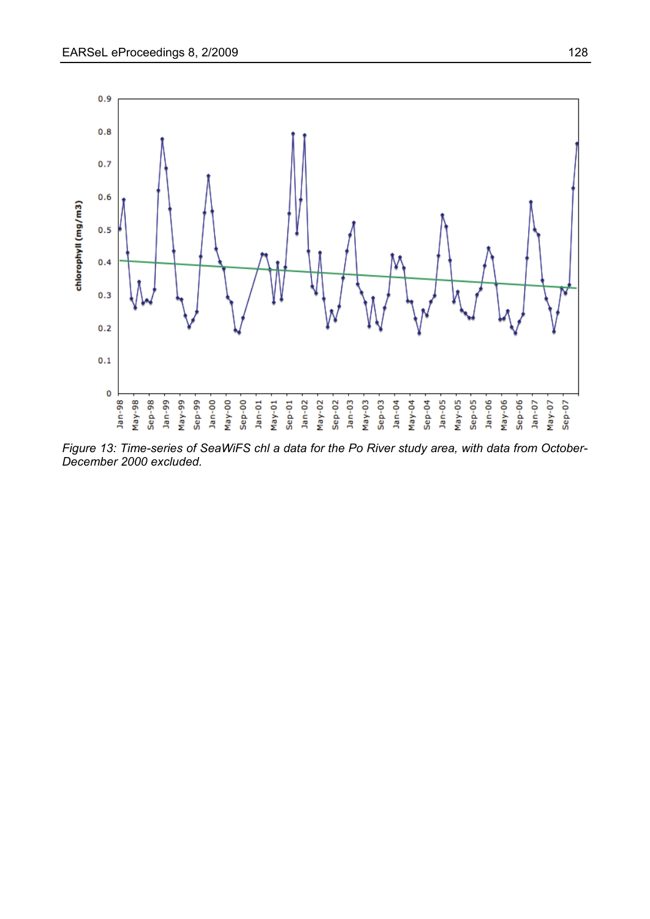

*Figure 13: Time-series of SeaWiFS chl a data for the Po River study area, with data from October-December 2000 excluded.*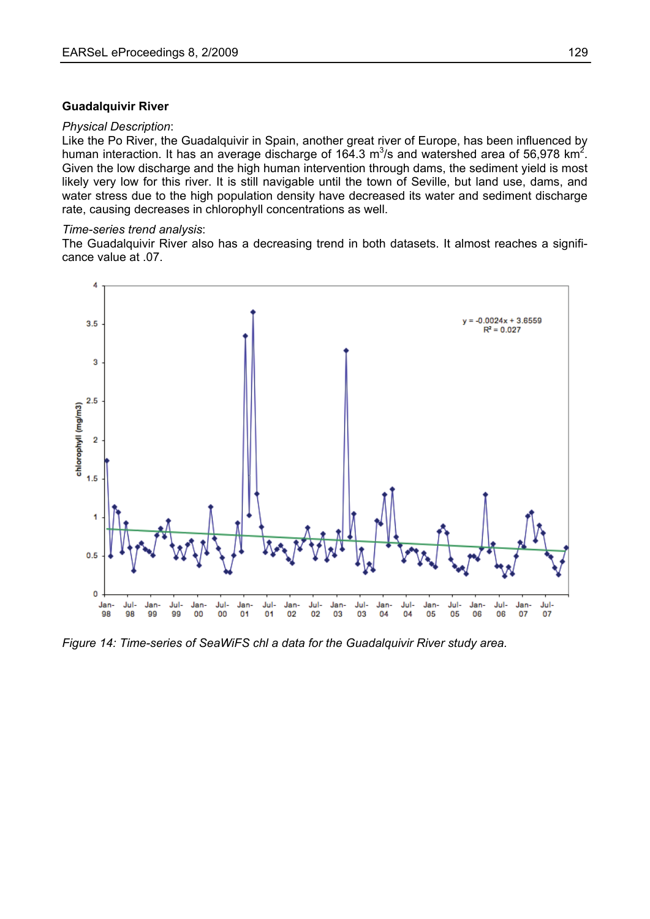#### **Guadalquivir River**

#### *Physical Description*:

Like the Po River, the Guadalquivir in Spain, another great river of Europe, has been influenced by human interaction. It has an average discharge of 164.3  $\mathrm{m}^3$ /s and watershed area of 56,978 km<sup>2</sup>. Given the low discharge and the high human intervention through dams, the sediment yield is most likely very low for this river. It is still navigable until the town of Seville, but land use, dams, and water stress due to the high population density have decreased its water and sediment discharge rate, causing decreases in chlorophyll concentrations as well.

#### *Time-series trend analysis*:

The Guadalquivir River also has a decreasing trend in both datasets. It almost reaches a significance value at .07.



*Figure 14: Time-series of SeaWiFS chl a data for the Guadalquivir River study area.*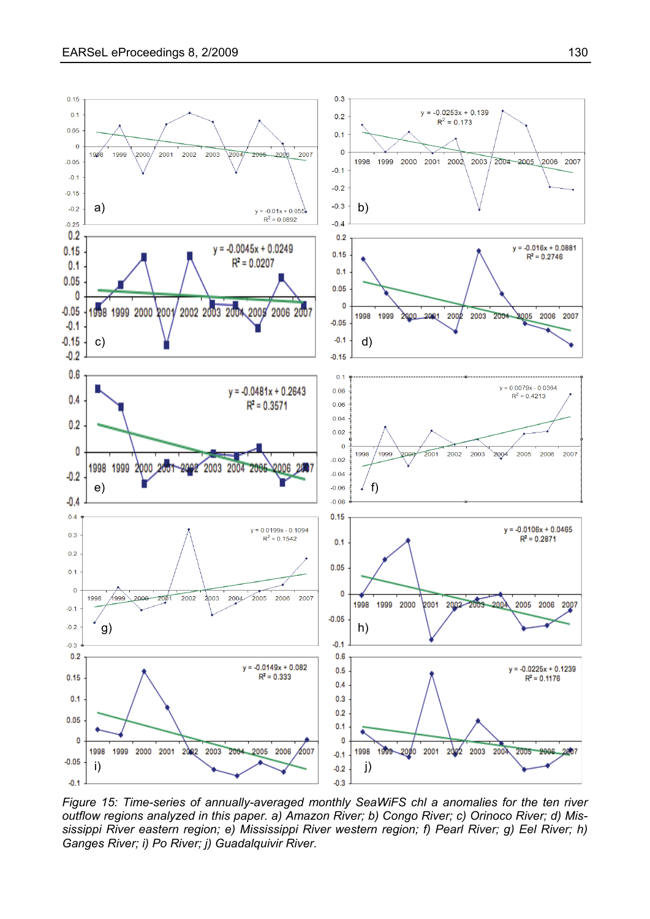

*Figure 15: Time-series of annually-averaged monthly SeaWiFS chl a anomalies for the ten river outflow regions analyzed in this paper. a) Amazon River; b) Congo River; c) Orinoco River; d) Mississippi River eastern region; e) Mississippi River western region; f) Pearl River; g) Eel River; h) Ganges River; i) Po River; j) Guadalquivir River.*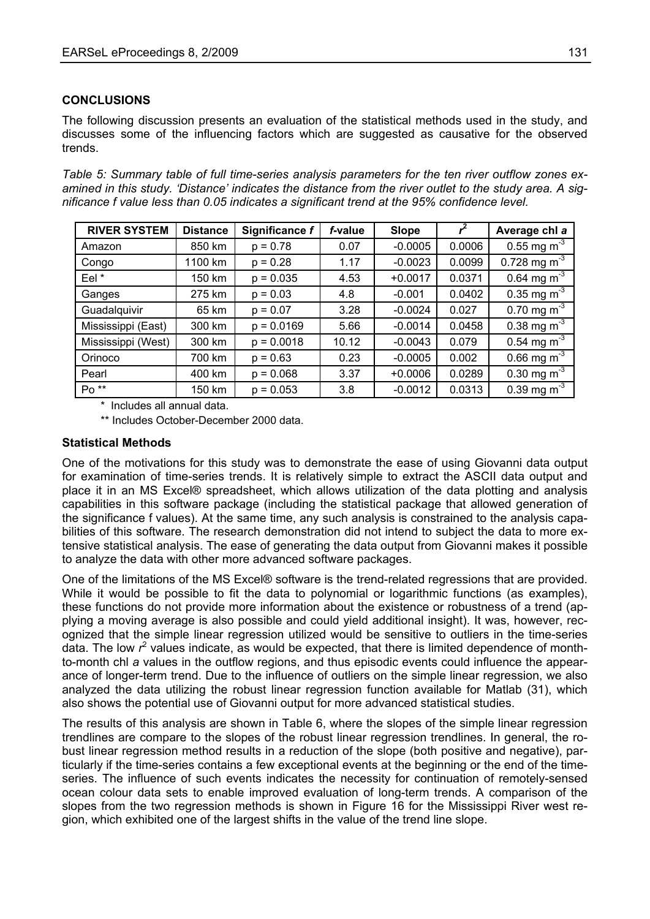## **CONCLUSIONS**

The following discussion presents an evaluation of the statistical methods used in the study, and discusses some of the influencing factors which are suggested as causative for the observed trends.

*Table 5: Summary table of full time-series analysis parameters for the ten river outflow zones examined in this study. 'Distance' indicates the distance from the river outlet to the study area. A significance f value less than 0.05 indicates a significant trend at the 95% confidence level.* 

| <b>RIVER SYSTEM</b> | <b>Distance</b> | Significance f | f-value | Slope     |        | Average chl a               |
|---------------------|-----------------|----------------|---------|-----------|--------|-----------------------------|
| Amazon              | 850 km          | $p = 0.78$     | 0.07    | $-0.0005$ | 0.0006 | 0.55 mg m <sup>-3</sup>     |
| Congo               | 1100 km         | $p = 0.28$     | 1.17    | $-0.0023$ | 0.0099 | 0.728 mg m <sup>-3</sup>    |
| Eel*                | 150 km          | $p = 0.035$    | 4.53    | $+0.0017$ | 0.0371 | 0.64 mg $m^{-3}$            |
| Ganges              | 275 km          | $p = 0.03$     | 4.8     | $-0.001$  | 0.0402 | 0.35 mg $m^{-3}$            |
| Guadalquivir        | 65 km           | $p = 0.07$     | 3.28    | $-0.0024$ | 0.027  | 0.70 mg m $^{-3}$           |
| Mississippi (East)  | 300 km          | $p = 0.0169$   | 5.66    | $-0.0014$ | 0.0458 | 0.38 mg m <sup>-3</sup>     |
| Mississippi (West)  | 300 km          | $p = 0.0018$   | 10.12   | $-0.0043$ | 0.079  | 0.54 mg $m^{-3}$            |
| Orinoco             | 700 km          | $p = 0.63$     | 0.23    | $-0.0005$ | 0.002  | 0.66 mg $\overline{m^{-3}}$ |
| Pearl               | 400 km          | $p = 0.068$    | 3.37    | $+0.0006$ | 0.0289 | 0.30 mg $\overline{m^{-3}}$ |
| Po <sup>**</sup>    | 150 km          | $p = 0.053$    | 3.8     | $-0.0012$ | 0.0313 | 0.39 mg m <sup>-3</sup>     |

\* Includes all annual data.

\*\* Includes October-December 2000 data.

## **S tatistical Methods**

One of the motivations for this study was to demonstrate the ease of using Giovanni data output for examination of time-series trends. It is relatively simple to extract the ASCII data output and place it in an MS Excel® spreadsheet, which allows utilization of the data plotting and analysis capabilities in this software package (including the statistical package that allowed generation of the significance f values). At the same time, any such analysis is constrained to the analysis capabilities of this software. The research demonstration did not intend to subject the data to more extensive statistical analysis. The ease of generating the data output from Giovanni makes it possible to analyze the data with other more advanced software packages.

One of the limitations of the MS Excel® software is the trend-related regressions that are provided. While it would be possible to fit the data to polynomial or logarithmic functions (as examples), these functions do not provide more information about the existence or robustness of a trend (applying a moving average is also possible and could yield additional insight). It was, however, recognized that the simple linear regression utilized would be sensitive to outliers in the time-series data. The low  $r^2$  values indicate, as would be expected, that there is limited dependence of monthto-month chl *a* values in the outflow regions, and thus episodic events could influence the appearance of longer-term trend. Due to the influence of outliers on the simple linear regression, we also analyzed the data utilizing the robust linear regression function available for Matlab (31), which also shows the potential use of Giovanni output for more advanced statistical studies.

The results of this analysis are shown in Table 6, where the slopes of the simple linear regression trendlines are compare to the slopes of the robust linear regression trendlines. In general, the robust linear regression method results in a reduction of the slope (both positive and negative), particularly if the time-series contains a few exceptional events at the beginning or the end of the timeseries. The influence of such events indicates the necessity for continuation of remotely-sensed ocean colour data sets to enable improved evaluation of long-term trends. A comparison of the slopes from the two regression methods is shown in Figure 16 for the Mississippi River west region, which exhibited one of the largest shifts in the value of the trend line slope.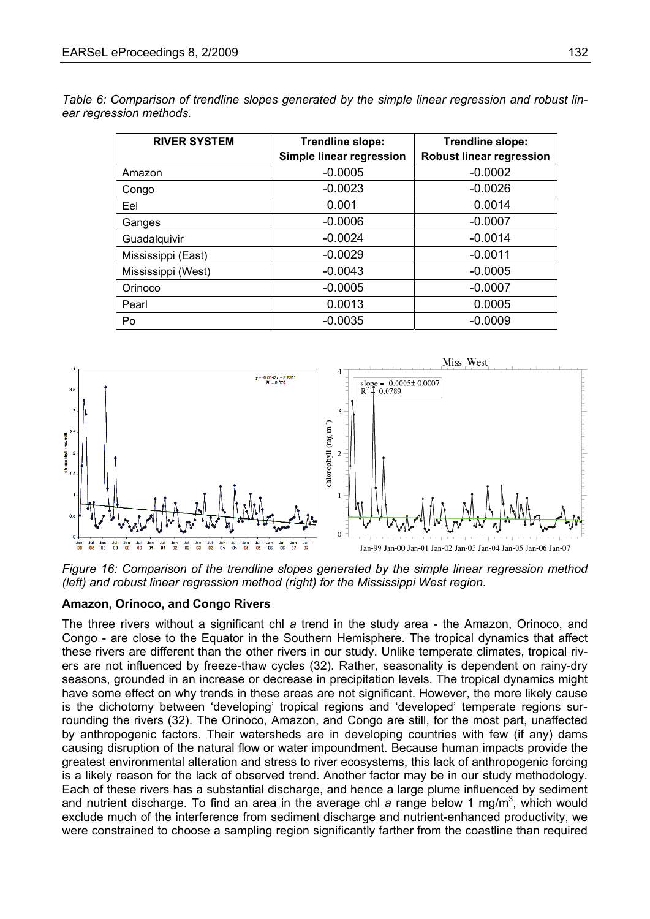*Table 6: Comparison of trendline slopes generated by the simple linear regression and robust linear regression methods.* 

| <b>RIVER SYSTEM</b> | Trendline slope:         | Trendline slope:                |  |  |
|---------------------|--------------------------|---------------------------------|--|--|
|                     | Simple linear regression | <b>Robust linear regression</b> |  |  |
| Amazon              | $-0.0005$                | $-0.0002$                       |  |  |
| Congo               | $-0.0023$                | $-0.0026$                       |  |  |
| Eel                 | 0.001                    | 0.0014                          |  |  |
| Ganges              | $-0.0006$                | $-0.0007$                       |  |  |
| Guadalquivir        | $-0.0024$                | $-0.0014$                       |  |  |
| Mississippi (East)  | $-0.0029$                | $-0.0011$                       |  |  |
| Mississippi (West)  | $-0.0043$                | $-0.0005$                       |  |  |
| Orinoco             | $-0.0005$                | $-0.0007$                       |  |  |
| Pearl               | 0.0013                   | 0.0005                          |  |  |
| Po                  | $-0.0035$                | $-0.0009$                       |  |  |



*Figure 16: Comparison of the trendline slopes generated by the simple linear regression method (left) and robust linear regression method (right) for the Mississippi West region.* 

#### **A mazon, Orinoco, and Congo Rivers**

The three rivers without a significant chl a trend in the study area - the Amazon, Orinoco, and Congo - are close to the Equator in the Southern Hemisphere. The tropical dynamics that affect these rivers are different than the other rivers in our study. Unlike temperate climates, tropical rivers are not influenced by freeze-thaw cycles (32). Rather, seasonality is dependent on rainy-dry seasons, grounded in an increase or decrease in precipitation levels. The tropical dynamics might have some effect on why trends in these areas are not significant. However, the more likely cause is the dichotomy between 'developing' tropical regions and 'developed' temperate regions surrounding the rivers (32). The Orinoco, Amazon, and Congo are still, for the most part, unaffected by anthropogenic factors. Their watersheds are in developing countries with few (if any) dams causing disruption of the natural flow or water impoundment. Because human impacts provide the greatest environmental alteration and stress to river ecosystems, this lack of anthropogenic forcing is a likely reason for the lack of observed trend. Another factor may be in our study methodology. Each of these rivers has a substantial discharge, and hence a large plume influenced by sediment and nutrient discharge. To find an area in the average chl a range below 1 mg/m<sup>3</sup>, which would exclude much of the interference from sediment discharge and nutrient-enhanced productivity, we were constrained to choose a sampling region significantly farther from the coastline than required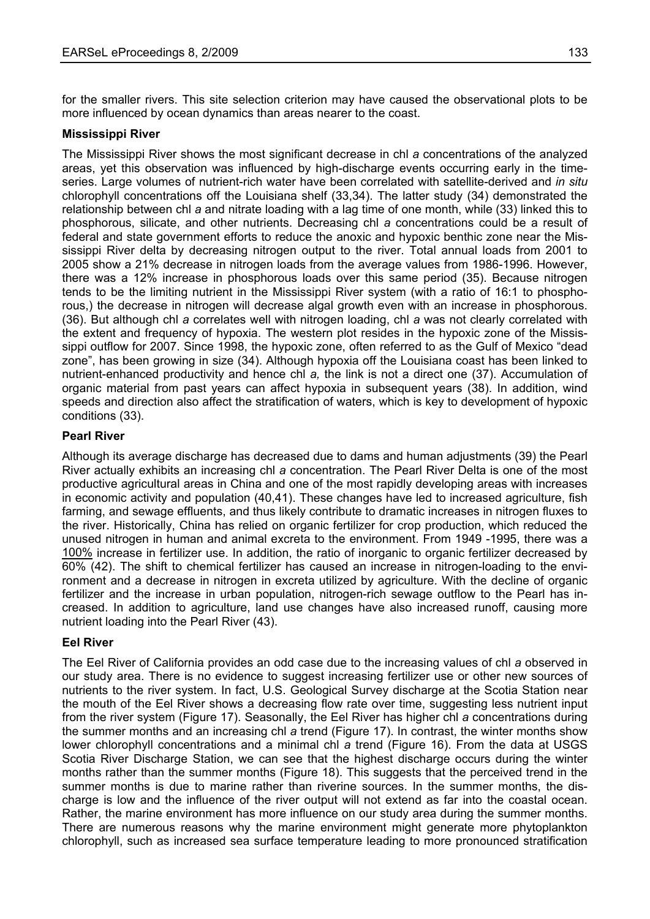for the smaller rivers. This site selection criterion may have caused the observational plots to be more influenced by ocean dynamics than areas nearer to the coast.

## **Mississippi River**

The Mississippi River shows the most significant decrease in chl *a* concentrations of the analyzed areas, yet this observation was influenced by high-discharge events occurring early in the timeseries. Large volumes of nutrient-rich water have been correlated with satellite-derived and *in situ* chlorophyll concentrations off the Louisiana shelf (33,34). The latter study (34) demonstrated the relationship between chl *a* and nitrate loading with a lag time of one month, while (33) linked this to phosphorous, silicate, and other nutrients. Decreasing chl *a* concentrations could be a result of federal and state government efforts to reduce the anoxic and hypoxic benthic zone near the Mississippi River delta by decreasing nitrogen output to the river. Total annual loads from 2001 to 2005 show a 21% decrease in nitrogen loads from the average values from 1986-1996. However, there was a 12% increase in phosphorous loads over this same period (35). Because nitrogen tends to be the limiting nutrient in the Mississippi River system (with a ratio of 16:1 to phosphorous,) the decrease in nitrogen will decrease algal growth even with an increase in phosphorous. (36). But although chl *a* correlates well with nitrogen loading, chl *a* was not clearly correlated with the extent and frequency of hypoxia. The western plot resides in the hypoxic zone of the Mississippi outflow for 2007. Since 1998, the hypoxic zone, often referred to as the Gulf of Mexico "dead zone", has been growing in size (34). Although hypoxia off the Louisiana coast has been linked to nutrient-enhanced productivity and hence chl *a,* the link is not a direct one (37). Accumulation of organic material from past years can affect hypoxia in subsequent years (38). In addition, wind speeds and direction also affect the stratification of waters, which is key to development of hypoxic conditions (33).

## **Pearl River**

Although its average discharge has decreased due to dams and human adjustments (39) the Pearl River actually exhibits an increasing chl *a* concentration. The Pearl River Delta is one of the most productive agricultural areas in China and one of the most rapidly developing areas with increases in economic activity and population (40,41). These changes have led to increased agriculture, fish farming, and sewage effluents, and thus likely contribute to dramatic increases in nitrogen fluxes to the river. Historically, China has relied on organic fertilizer for crop production, which reduced the unused nitrogen in human and animal excreta to the environment. From 1949 -1995, there was a 100% increase in fertilizer use. In addition, the ratio of inorganic to organic fertilizer decreased by 60% (42). The shift to chemical fertilizer has caused an increase in nitrogen-loading to the environment and a decrease in nitrogen in excreta utilized by agriculture. With the decline of organic fertilizer and the increase in urban population, nitrogen-rich sewage outflow to the Pearl has increased. In addition to agriculture, land use changes have also increased runoff, causing more nutrient loading into the Pearl River (43).

## **Eel River**

The Eel River of California provides an odd case due to the increasing values of chl *a* observed in our study area. There is no evidence to suggest increasing fertilizer use or other new sources of nutrients to the river system. In fact, U.S. Geological Survey discharge at the Scotia Station near the mouth of the Eel River shows a decreasing flow rate over time, suggesting less nutrient input from the river system (Figure 17). Seasonally, the Eel River has higher chl *a* concentrations during the summer months and an increasing chl *a* trend (Figure 17). In contrast, the winter months show lower chlorophyll concentrations and a minimal chl *a* trend (Figure 16). From the data at USGS Scotia River Discharge Station, we can see that the highest discharge occurs during the winter months rather than the summer months (Figure 18). This suggests that the perceived trend in the summer months is due to marine rather than riverine sources. In the summer months, the discharge is low and the influence of the river output will not extend as far into the coastal ocean. Rather, the marine environment has more influence on our study area during the summer months. There are numerous reasons why the marine environment might generate more phytoplankton chlorophyll, such as increased sea surface temperature leading to more pronounced stratification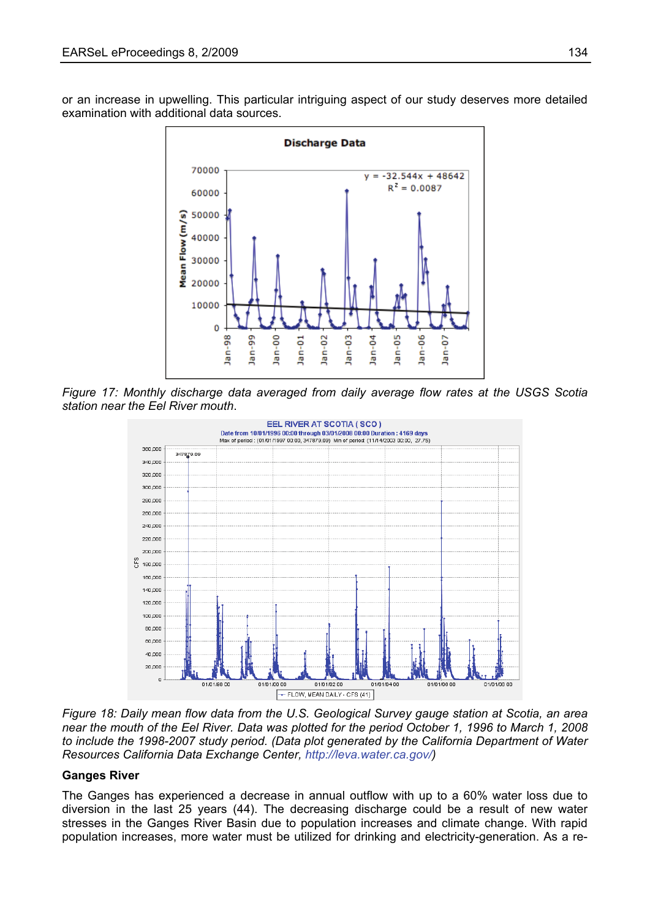or an increase in upwelling. This particular intriguing aspect of our study deserves more detailed examination with additional data sources.



*Figure 17: Monthly discharge data averaged from daily average flow rates at the USGS Scotia station near the Eel River mouth*.



*Figure 18: Daily mean flow data from the U.S. Geological Survey gauge station at Scotia, an area near the mouth of the Eel River. Data was plotted for the period October 1, 1996 to March 1, 2008 to include the 1998-2007 study period. (Data plot generated by the California Department of Water Resources California Data Exchange Center, [http://leva.water.ca.gov/\)](http://leva.water.ca.gov/)* 

## **Ganges River**

The Ganges has experienced a decrease in annual outflow with up to a 60% water loss due to diversion in the last 25 years (44). The decreasing discharge could be a result of new water stresses in the Ganges River Basin due to population increases and climate change. With rapid population increases, more water must be utilized for drinking and electricity-generation. As a re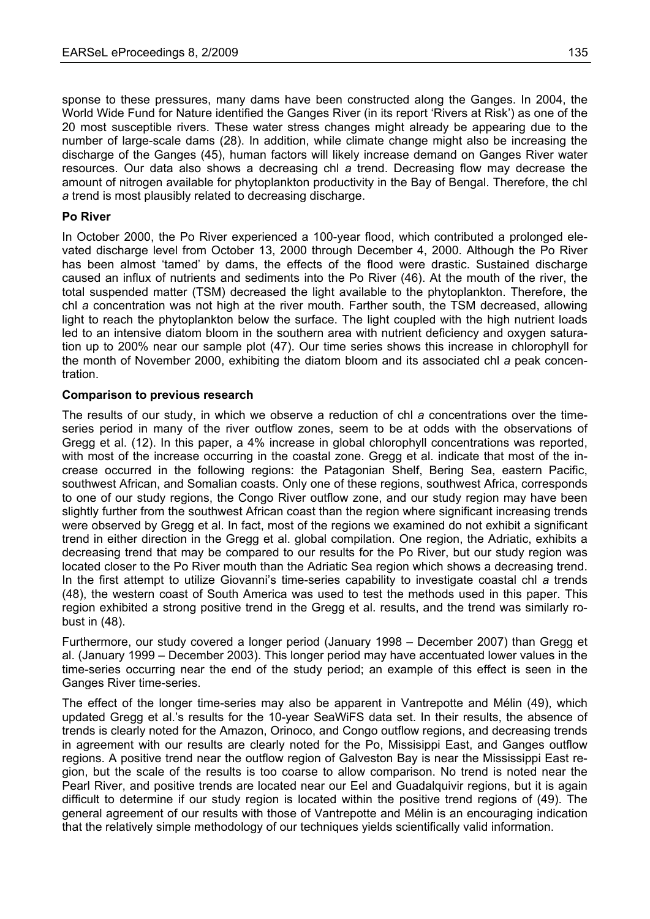sponse to these pressures, many dams have been constructed along the Ganges. In 2004, the World Wide Fund for Nature identified the Ganges River (in its report 'Rivers at Risk') as one of the 20 most susceptible rivers. These water stress changes might already be appearing due to the number of large-scale dams (28). In addition, while climate change might also be increasing the discharge of the Ganges (45), human factors will likely increase demand on Ganges River water resources. Our data also shows a decreasing chl *a* trend. Decreasing flow may decrease the amount of nitrogen available for phytoplankton productivity in the Bay of Bengal. Therefore, the chl *a* trend is most plausibly related to decreasing discharge.

## **Po River**

In October 2000, the Po River experienced a 100-year flood, which contributed a prolonged elevated discharge level from October 13, 2000 through December 4, 2000. Although the Po River has been almost 'tamed' by dams, the effects of the flood were drastic. Sustained discharge caused an influx of nutrients and sediments into the Po River (46). At the mouth of the river, the total suspended matter (TSM) decreased the light available to the phytoplankton. Therefore, the chl *a* concentration was not high at the river mouth. Farther south, the TSM decreased, allowing light to reach the phytoplankton below the surface. The light coupled with the high nutrient loads led to an intensive diatom bloom in the southern area with nutrient deficiency and oxygen saturation up to 200% near our sample plot (47). Our time series shows this increase in chlorophyll for the month of November 2000, exhibiting the diatom bloom and its associated chl *a* peak concentration.

## **Comparison to previous research**

The results of our study, in which we observe a reduction of chl *a* concentrations over the timeseries period in many of the river outflow zones, seem to be at odds with the observations of Gregg et al. (12). In this paper, a 4% increase in global chlorophyll concentrations was reported, with most of the increase occurring in the coastal zone. Gregg et al. indicate that most of the increase occurred in the following regions: the Patagonian Shelf, Bering Sea, eastern Pacific, southwest African, and Somalian coasts. Only one of these regions, southwest Africa, corresponds to one of our study regions, the Congo River outflow zone, and our study region may have been slightly further from the southwest African coast than the region where significant increasing trends were observed by Gregg et al. In fact, most of the regions we examined do not exhibit a significant trend in either direction in the Gregg et al. global compilation. One region, the Adriatic, exhibits a decreasing trend that may be compared to our results for the Po River, but our study region was located closer to the Po River mouth than the Adriatic Sea region which shows a decreasing trend. In the first attempt to utilize Giovanni's time-series capability to investigate coastal chl *a* trends (48), the western coast of South America was used to test the methods used in this paper. This region exhibited a strong positive trend in the Gregg et al. results, and the trend was similarly robust in (48).

Furthermore, our study covered a longer period (January 1998 – December 2007) than Gregg et al. (January 1999 – December 2003). This longer period may have accentuated lower values in the time-series occurring near the end of the study period; an example of this effect is seen in the Ganges River time-series.

The effect of the longer time-series may also be apparent in Vantrepotte and Mélin (49), which updated Gregg et al.'s results for the 10-year SeaWiFS data set. In their results, the absence of trends is clearly noted for the Amazon, Orinoco, and Congo outflow regions, and decreasing trends in agreement with our results are clearly noted for the Po, Missisippi East, and Ganges outflow regions. A positive trend near the outflow region of Galveston Bay is near the Mississippi East region, but the scale of the results is too coarse to allow comparison. No trend is noted near the Pearl River, and positive trends are located near our Eel and Guadalquivir regions, but it is again difficult to determine if our study region is located within the positive trend regions of (49). The general agreement of our results with those of Vantrepotte and Mélin is an encouraging indication that the relatively simple methodology of our techniques yields scientifically valid information.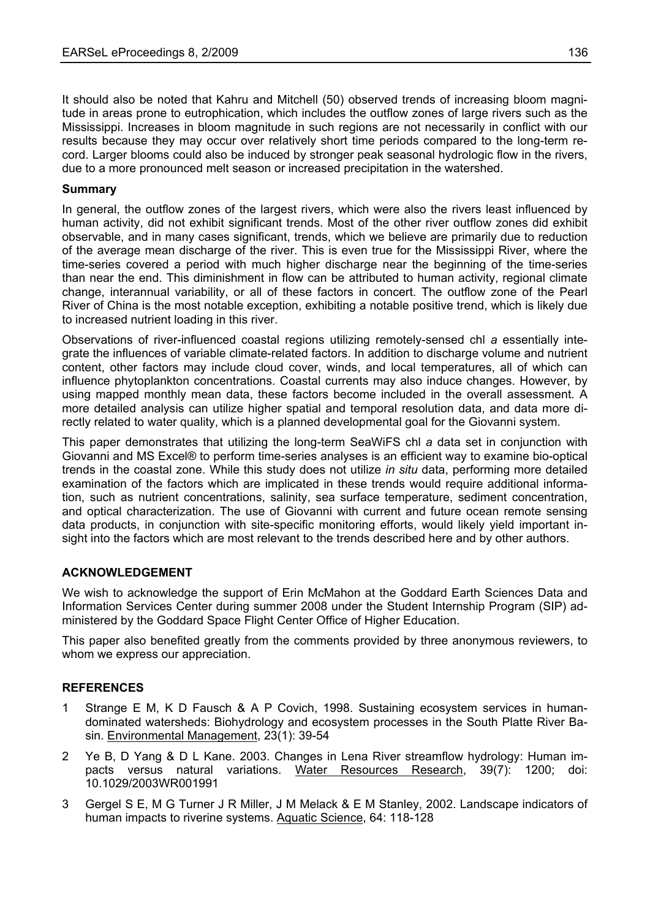It should also be noted that Kahru and Mitchell (50) observed trends of increasing bloom magnitude in areas prone to eutrophication, which includes the outflow zones of large rivers such as the Mississippi. Increases in bloom magnitude in such regions are not necessarily in conflict with our results because they may occur over relatively short time periods compared to the long-term record. Larger blooms could also be induced by stronger peak seasonal hydrologic flow in the rivers, due to a more pronounced melt season or increased precipitation in the watershed.

## **Summary**

In general, the outflow zones of the largest rivers, which were also the rivers least influenced by human activity, did not exhibit significant trends. Most of the other river outflow zones did exhibit observable, and in many cases significant, trends, which we believe are primarily due to reduction of the average mean discharge of the river. This is even true for the Mississippi River, where the time-series covered a period with much higher discharge near the beginning of the time-series than near the end. This diminishment in flow can be attributed to human activity, regional climate change, interannual variability, or all of these factors in concert. The outflow zone of the Pearl River of China is the most notable exception, exhibiting a notable positive trend, which is likely due to increased nutrient loading in this river.

Observations of river-influenced coastal regions utilizing remotely-sensed chl *a* essentially integrate the influences of variable climate-related factors. In addition to discharge volume and nutrient content, other factors may include cloud cover, winds, and local temperatures, all of which can influence phytoplankton concentrations. Coastal currents may also induce changes. However, by using mapped monthly mean data, these factors become included in the overall assessment. A more detailed analysis can utilize higher spatial and temporal resolution data, and data more directly related to water quality, which is a planned developmental goal for the Giovanni system.

This paper demonstrates that utilizing the long-term SeaWiFS chl *a* data set in conjunction with Giovanni and MS Excel® to perform time-series analyses is an efficient way to examine bio-optical trends in the coastal zone. While this study does not utilize *in situ* data, performing more detailed examination of the factors which are implicated in these trends would require additional information, such as nutrient concentrations, salinity, sea surface temperature, sediment concentration, and optical characterization. The use of Giovanni with current and future ocean remote sensing data products, in conjunction with site-specific monitoring efforts, would likely yield important insight into the factors which are most relevant to the trends described here and by other authors.

## **ACKNOWLEDGEMENT**

We wish to acknowledge the support of Erin McMahon at the Goddard Earth Sciences Data and Information Services Center during summer 2008 under the Student Internship Program (SIP) administered by the Goddard Space Flight Center Office of Higher Education.

This paper also benefited greatly from the comments provided by three anonymous reviewers, to whom we express our appreciation.

## **REFERENCES**

- 1 Strange E M, K D Fausch & A P Covich, 1998. Sustaining ecosystem services in humandominated watersheds: Biohydrology and ecosystem processes in the South Platte River Basin. Environmental Management, 23(1): 39-54
- 2 Ye B, D Yang & D L Kane. 2003. Changes in Lena River streamflow hydrology: Human impacts versus natural variations. Water Resources Research, 39(7): 1200; doi: 10.1029/2003WR001991
- 3 Gergel S E, M G Turner J R Miller, J M Melack & E M Stanley, 2002. Landscape indicators of human impacts to riverine systems. Aquatic Science, 64: 118-128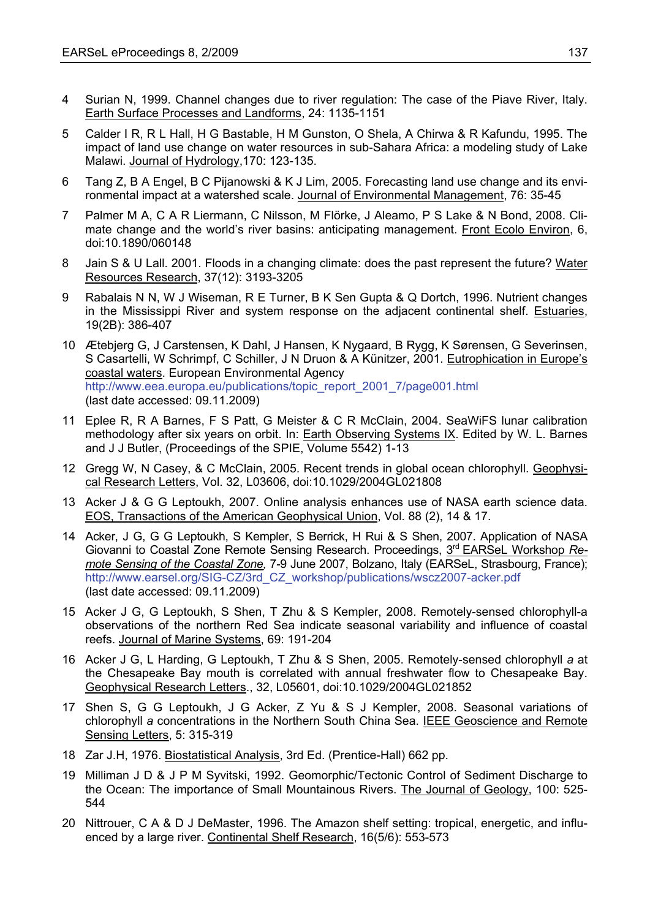- 4 Surian N, 1999. Channel changes due to river regulation: The case of the Piave River, Italy. Earth Surface Processes and Landforms, 24: 1135-1151
- 5 Calder I R, R L Hall, H G Bastable, H M Gunston, O Shela, A Chirwa & R Kafundu, 1995. The impact of land use change on water resources in sub-Sahara Africa: a modeling study of Lake Malawi. Journal of Hydrology,170: 123-135.
- 6 Tang Z, B A Engel, B C Pijanowski & K J Lim, 2005. Forecasting land use change and its environmental impact at a watershed scale. Journal of Environmental Management, 76: 35-45
- 7 Palmer M A, C A R Liermann, C Nilsson, M Flörke, J Aleamo, P S Lake & N Bond, 2008. Climate change and the world's river basins: anticipating management. Front Ecolo Environ, 6, doi:10.1890/060148
- 8 Jain S & U Lall. 2001. Floods in a changing climate: does the past represent the future? Water Resources Research, 37(12): 3193-3205
- 9 Rabalais N N, W J Wiseman, R E Turner, B K Sen Gupta & Q Dortch, 1996. Nutrient changes in the Mississippi River and system response on the adjacent continental shelf. Estuaries, 19(2B): 386-407
- 10 Ætebjerg G, J Carstensen, K Dahl, J Hansen, K Nygaard, B Rygg, K Sørensen, G Severinsen, S Casartelli, W Schrimpf, C Schiller, J N Druon & A Künitzer, 2001. Eutrophication in Europe's coastal waters. European Environmental Agency [http://www.eea.europa.eu/publications/topic\\_report\\_2001\\_7/page001.html](http://www.eea.europa.eu/publications/topic_report_2001_7/page001.html) (last date accessed: 09.11.2009)
- 11 Eplee R, R A Barnes, F S Patt, G Meister & C R McClain, 2004. SeaWiFS lunar calibration methodology after six years on orbit. In: Earth Observing Systems IX. Edited by W. L. Barnes and J J Butler, (Proceedings of the SPIE, Volume 5542) 1-13
- 12 Gregg W, N Casey, & C McClain, 2005. Recent trends in global ocean chlorophyll. Geophysical Research Letters, Vol. 32, L03606, doi:10.1029/2004GL021808
- 13 Acker J & G G Leptoukh, 2007. Online analysis enhances use of NASA earth science data. EOS, Transactions of the American Geophysical Union, Vol. 88 (2), 14 & 17.
- 14 Acker, J G, G G Leptoukh, S Kempler, S Berrick, H Rui & S Shen, 2007. Application of NASA Giovanni to Coastal Zone Remote Sensing Research. Proceedings, 3rd EARSeL Workshop *Remote Sensing of the Coastal Zone,* 7-9 June 2007, Bolzano, Italy (EARSeL, Strasbourg, France); [http://www.earsel.org/SIG-CZ/3rd\\_CZ\\_workshop/publications/wscz2007-acker.pdf](http://www.earsel.org/SIG-CZ/3rd_CZ_workshop/publications/wscz2007-acker.pdf)  (last date accessed: 09.11.2009)
- 15 Acker J G, G Leptoukh, S Shen, T Zhu & S Kempler, 2008. Remotely-sensed chlorophyll-a observations of the northern Red Sea indicate seasonal variability and influence of coastal reefs. Journal of Marine Systems, 69: 191-204
- 16 Acker J G, L Harding, G Leptoukh, T Zhu & S Shen, 2005. Remotely-sensed chlorophyll *a* at the Chesapeake Bay mouth is correlated with annual freshwater flow to Chesapeake Bay. Geophysical Research Letters., 32, L05601, doi:10.1029/2004GL021852
- 17 Shen S, G G Leptoukh, J G Acker, Z Yu & S J Kempler, 2008. Seasonal variations of chlorophyll *a* concentrations in the Northern South China Sea. IEEE Geoscience and Remote Sensing Letters, 5: 315-319
- 18 Zar J.H, 1976. Biostatistical Analysis, 3rd Ed. (Prentice-Hall) 662 pp.
- 19 Milliman J D & J P M Syvitski, 1992. Geomorphic/Tectonic Control of Sediment Discharge to the Ocean: The importance of Small Mountainous Rivers. The Journal of Geology, 100: 525- 544
- 20 Nittrouer, C A & D J DeMaster, 1996. The Amazon shelf setting: tropical, energetic, and influenced by a large river. Continental Shelf Research, 16(5/6): 553-573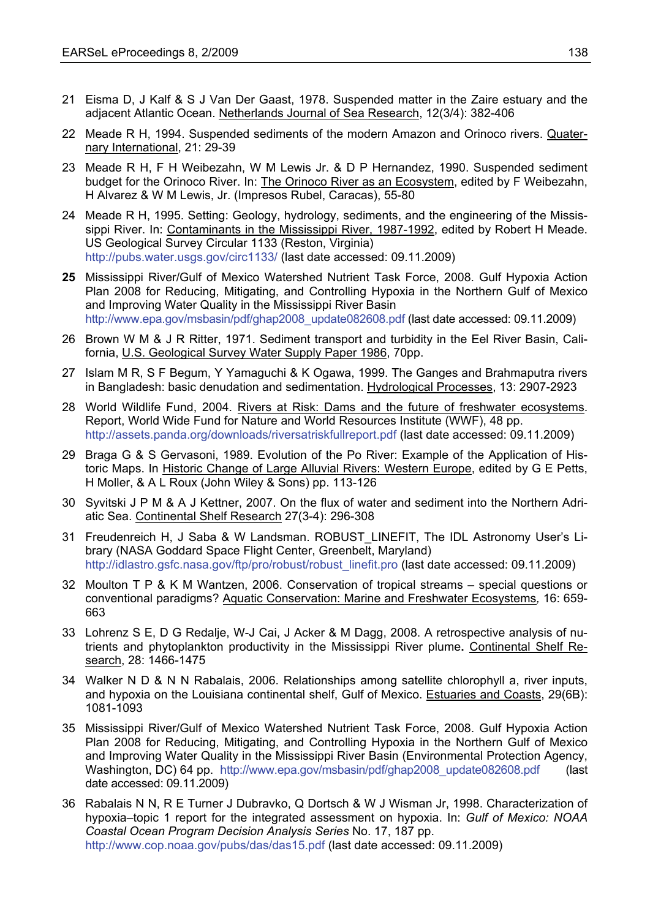- 21 Eisma D, J Kalf & S J Van Der Gaast, 1978. Suspended matter in the Zaire estuary and the adjacent Atlantic Ocean. Netherlands Journal of Sea Research, 12(3/4): 382-406
- 22 Meade R H, 1994. Suspended sediments of the modern Amazon and Orinoco rivers. Quaternary International, 21: 29-39
- 23 Meade R H, F H Weibezahn, W M Lewis Jr. & D P Hernandez, 1990. Suspended sediment budget for the Orinoco River. In: The Orinoco River as an Ecosystem, edited by F Weibezahn, H Alvarez & W M Lewis, Jr. (Impresos Rubel, Caracas), 55-80
- 24 Meade R H, 1995. Setting: Geology, hydrology, sediments, and the engineering of the Mississippi River. In: Contaminants in the Mississippi River, 1987-1992, edited by Robert H Meade. US Geological Survey Circular 1133 (Reston, Virginia) <http://pubs.water.usgs.gov/circ1133/> (last date accessed: 09.11.2009)
- **25** Mississippi River/Gulf of Mexico Watershed Nutrient Task Force, 2008. Gulf Hypoxia Action Plan 2008 for Reducing, Mitigating, and Controlling Hypoxia in the Northern Gulf of Mexico and Improving Water Quality in the Mississippi River Basin [http://www.epa.gov/msbasin/pdf/ghap2008\\_update082608.pdf](http://www.epa.gov/msbasin/pdf/ghap2008_update082608.pdf) (last date accessed: 09.11.2009)
- 26 Brown W M & J R Ritter, 1971. Sediment transport and turbidity in the Eel River Basin, California, U.S. Geological Survey Water Supply Paper 1986, 70pp.
- 27 Islam M R, S F Begum, Y Yamaguchi & K Ogawa, 1999. The Ganges and Brahmaputra rivers in Bangladesh: basic denudation and sedimentation. Hydrological Processes, 13: 2907-2923
- 28 World Wildlife Fund, 2004. Rivers at Risk: Dams and the future of freshwater ecosystems. Report, World Wide Fund for Nature and World Resources Institute (WWF), 48 pp. <http://assets.panda.org/downloads/riversatriskfullreport.pdf> (last date accessed: 09.11.2009)
- 29 Braga G & S Gervasoni, 1989. Evolution of the Po River: Example of the Application of Historic Maps. In Historic Change of Large Alluvial Rivers: Western Europe, edited by G E Petts, H Moller, & A L Roux (John Wiley & Sons) pp. 113-126
- 30 Syvitski J P M & A J Kettner, 2007. On the flux of water and sediment into the Northern Adriatic Sea. Continental Shelf Research 27(3-4): 296-308
- 31 Freudenreich H, J Saba & W Landsman. ROBUST\_LINEFIT, The IDL Astronomy User's Library (NASA Goddard Space Flight Center, Greenbelt, Maryland) [http://idlastro.gsfc.nasa.gov/ftp/pro/robust/robust\\_linefit.pro](http://idlastro.gsfc.nasa.gov/ftp/pro/robust/robust_linefit.pro) (last date accessed: 09.11.2009)
- 32 Moulton T P & K M Wantzen, 2006. Conservation of tropical streams special questions or conventional paradigms? Aquatic Conservation: Marine and Freshwater Ecosystems*,* 16: 659- 663
- 33 Lohrenz S E, D G Redalje, W-J Cai, J Acker & M Dagg, 2008. A retrospective analysis of nutrients and phytoplankton productivity in the Mississippi River plume**.** Continental Shelf Research, 28: 1466-1475
- 34 Walker N D & N N Rabalais, 2006. Relationships among satellite chlorophyll a, river inputs, and hypoxia on the Louisiana continental shelf, Gulf of Mexico. Estuaries and Coasts, 29(6B): 1081-1093
- 35 Mississippi River/Gulf of Mexico Watershed Nutrient Task Force, 2008. Gulf Hypoxia Action Plan 2008 for Reducing, Mitigating, and Controlling Hypoxia in the Northern Gulf of Mexico and Improving Water Quality in the Mississippi River Basin (Environmental Protection Agency, Washington, DC) 64 pp. [http://www.epa.gov/msbasin/pdf/ghap2008\\_update082608.pdf](http://www.epa.gov/msbasin/pdf/ghap2008_update082608.pdf) (last date accessed: 09.11.2009)
- 36 Rabalais N N, R E Turner J Dubravko, Q Dortsch & W J Wisman Jr, 1998. Characterization of hypoxia–topic 1 report for the integrated assessment on hypoxia. In: *Gulf of Mexico: NOAA Coastal Ocean Program Decision Analysis Series* No. 17, 187 pp. <http://www.cop.noaa.gov/pubs/das/das15.pdf> (last date accessed: 09.11.2009)